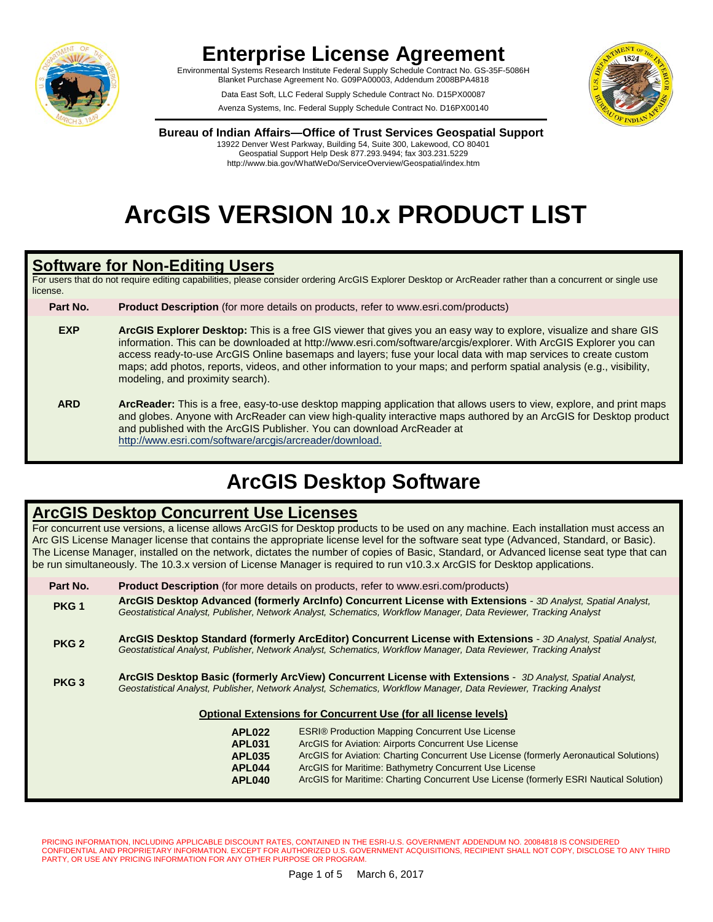

Environmental Systems Research Institute Federal Supply Schedule Contract No. GS-35F-5086H Blanket Purchase Agreement No. G09PA00003, Addendum 2008BPA4818

> Data East Soft, LLC Federal Supply Schedule Contract No. D15PX00087 Avenza Systems, Inc. Federal Supply Schedule Contract No. D16PX00140



**Bureau of Indian Affairs—Office of Trust Services Geospatial Support**

13922 Denver West Parkway, Building 54, Suite 300, Lakewood, CO 80401 Geospatial Support Help Desk 877.293.9494; fax 303.231.5229 http://www.bia.gov/WhatWeDo/ServiceOverview/Geospatial/index.htm

# **ArcGIS VERSION 10.x PRODUCT LIST**

#### **Software for Non-Editing Users**

For users that do not require editing capabilities, please consider ordering ArcGIS Explorer Desktop or ArcReader rather than a concurrent or single use license.

**Part No. Product Description** (for more details on products, refer to www.esri.com/products)

**EXP ArcGIS Explorer Desktop:** This is a free GIS viewer that gives you an easy way to explore, visualize and share GIS information. This can be downloaded at http://www.esri.com/software/arcgis/explorer. With ArcGIS Explorer you can access ready-to-use ArcGIS Online basemaps and layers; fuse your local data with map services to create custom maps; add photos, reports, videos, and other information to your maps; and perform spatial analysis (e.g., visibility, modeling, and proximity search).

**ARD ArcReader:** This is a free, easy-to-use desktop mapping application that allows users to view, explore, and print maps and globes. Anyone with ArcReader can view high-quality interactive maps authored by an ArcGIS for Desktop product and published with the ArcGIS Publisher. You can download ArcReader at http://www.esri.com/software/arcgis/arcreader/download.

## **ArcGIS Desktop Software**

### **ArcGIS Desktop Concurrent Use Licenses**

For concurrent use versions, a license allows ArcGIS for Desktop products to be used on any machine. Each installation must access an Arc GIS License Manager license that contains the appropriate license level for the software seat type (Advanced, Standard, or Basic). The License Manager, installed on the network, dictates the number of copies of Basic, Standard, or Advanced license seat type that can be run simultaneously. The 10.3.x version of License Manager is required to run v10.3.x ArcGIS for Desktop applications.

| Part No.                                                               | <b>Product Description</b> (for more details on products, refer to www.esri.com/products)                                                                                                                                                                                                                                                                                                                                                |  |  |
|------------------------------------------------------------------------|------------------------------------------------------------------------------------------------------------------------------------------------------------------------------------------------------------------------------------------------------------------------------------------------------------------------------------------------------------------------------------------------------------------------------------------|--|--|
| PKG <sub>1</sub>                                                       | ArcGIS Desktop Advanced (formerly ArcInfo) Concurrent License with Extensions - 3D Analyst, Spatial Analyst,<br>Geostatistical Analyst, Publisher, Network Analyst, Schematics, Workflow Manager, Data Reviewer, Tracking Analyst                                                                                                                                                                                                        |  |  |
| PKG <sub>2</sub>                                                       | ArcGIS Desktop Standard (formerly ArcEditor) Concurrent License with Extensions - 3D Analyst, Spatial Analyst,<br>Geostatistical Analyst, Publisher, Network Analyst, Schematics, Workflow Manager, Data Reviewer, Tracking Analyst                                                                                                                                                                                                      |  |  |
| PKG <sub>3</sub>                                                       | ArcGIS Desktop Basic (formerly ArcView) Concurrent License with Extensions - 3D Analyst, Spatial Analyst,<br>Geostatistical Analyst, Publisher, Network Analyst, Schematics, Workflow Manager, Data Reviewer, Tracking Analyst                                                                                                                                                                                                           |  |  |
| <b>Optional Extensions for Concurrent Use (for all license levels)</b> |                                                                                                                                                                                                                                                                                                                                                                                                                                          |  |  |
|                                                                        | <b>ESRI® Production Mapping Concurrent Use License</b><br>APL <sub>022</sub><br>ArcGIS for Aviation: Airports Concurrent Use License<br><b>APL031</b><br>ArcGIS for Aviation: Charting Concurrent Use License (formerly Aeronautical Solutions)<br><b>APL035</b><br>ArcGIS for Maritime: Bathymetry Concurrent Use License<br>APL044<br>ArcGIS for Maritime: Charting Concurrent Use License (formerly ESRI Nautical Solution)<br>APL040 |  |  |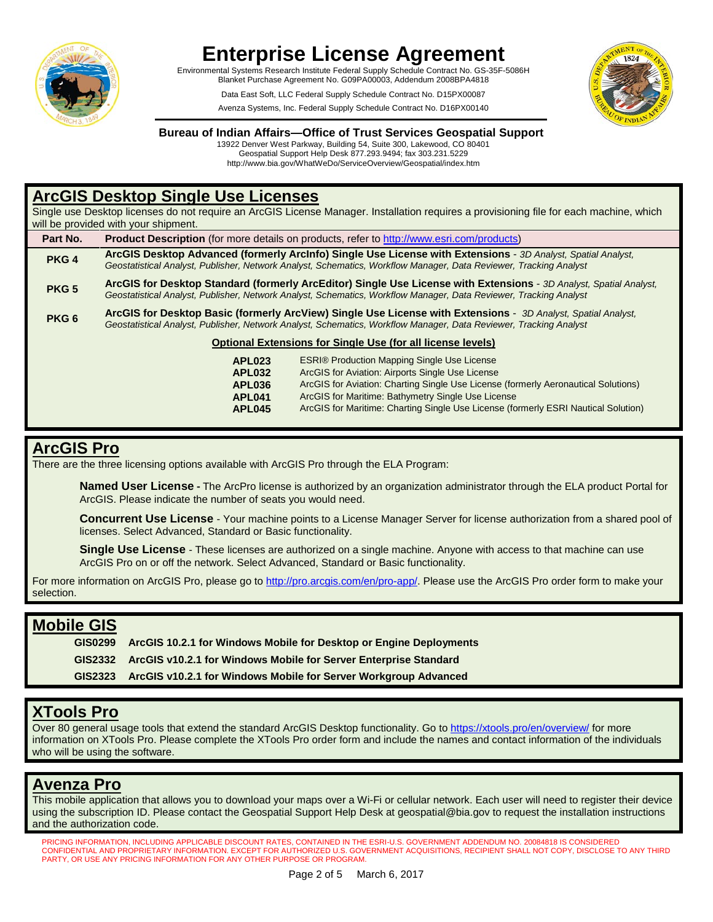

Environmental Systems Research Institute Federal Supply Schedule Contract No. GS-35F-5086H Blanket Purchase Agreement No. G09PA00003, Addendum 2008BPA4818

> Data East Soft, LLC Federal Supply Schedule Contract No. D15PX00087 Avenza Systems, Inc. Federal Supply Schedule Contract No. D16PX00140



#### **Bureau of Indian Affairs—Office of Trust Services Geospatial Support**

13922 Denver West Parkway, Building 54, Suite 300, Lakewood, CO 80401 Geospatial Support Help Desk 877.293.9494; fax 303.231.5229 http://www.bia.gov/WhatWeDo/ServiceOverview/Geospatial/index.htm

### **ArcGIS Desktop Single Use Licenses**

Single use Desktop licenses do not require an ArcGIS License Manager. Installation requires a provisioning file for each machine, which will be provided with your shipment.

| Part No.                                                           | <b>Product Description</b> (for more details on products, refer to http://www.esri.com/products)                                                                                                                                        |  |
|--------------------------------------------------------------------|-----------------------------------------------------------------------------------------------------------------------------------------------------------------------------------------------------------------------------------------|--|
| PKG <sub>4</sub>                                                   | ArcGIS Desktop Advanced (formerly ArcInfo) Single Use License with Extensions - 3D Analyst, Spatial Analyst,<br>Geostatistical Analyst, Publisher, Network Analyst, Schematics, Workflow Manager, Data Reviewer, Tracking Analyst       |  |
| PKG <sub>5</sub>                                                   | ArcGIS for Desktop Standard (formerly ArcEditor) Single Use License with Extensions - 3D Analyst, Spatial Analyst,<br>Geostatistical Analyst, Publisher, Network Analyst, Schematics, Workflow Manager, Data Reviewer, Tracking Analyst |  |
| PKG <sub>6</sub>                                                   | ArcGIS for Desktop Basic (formerly ArcView) Single Use License with Extensions - 3D Analyst, Spatial Analyst,<br>Geostatistical Analyst, Publisher, Network Analyst, Schematics, Workflow Manager, Data Reviewer, Tracking Analyst      |  |
| <b>Optional Extensions for Single Use (for all license levels)</b> |                                                                                                                                                                                                                                         |  |

**APL023** ESRI® Production Mapping Single Use License<br>**APL032** ArcGIS for Aviation: Airports Single Use License **APL032** ArcGIS for Aviation: Airports Single Use License **APL036** ArcGIS for Aviation: Charting Single Use License (formerly Aeronautical Solutions) **APL041** ArcGIS for Maritime: Bathymetry Single Use License ArcGIS for Maritime: Charting Single Use License (formerly ESRI Nautical Solution)

### **ArcGIS Pro**

There are the three licensing options available with ArcGIS Pro through the ELA Program:

**[Named User License](http://pro.arcgis.com/en/pro-app/get-started/named-user-licenses.htm) -** The ArcPro license is authorized by an organization administrator through the ELA product Portal for ArcGIS. Please indicate the number of seats you would need.

**[Concurrent Use License](http://pro.arcgis.com/en/pro-app/get-started/concurrent-use-licenses.htm)** - Your machine points to a License Manager Server for license authorization from a shared pool of licenses. Select Advanced, Standard or Basic functionality.

**[Single Use License](http://pro.arcgis.com/en/pro-app/get-started/single-use-licenses.htm)** - These licenses are authorized on a single machine. Anyone with access to that machine can use ArcGIS Pro on or off the network. Select Advanced, Standard or Basic functionality.

For more information on ArcGIS Pro, please go t[o http://pro.arcgis.com/en/pro-app/.](http://pro.arcgis.com/en/pro-app/) Please use the ArcGIS Pro order form to make your selection.

#### **Mobile GIS**

**GIS0299 ArcGIS 10.2.1 for Windows Mobile for Desktop or Engine Deployments GIS2332 ArcGIS v10.2.1 for Windows Mobile for Server Enterprise Standard GIS2323 ArcGIS v10.2.1 for Windows Mobile for Server Workgroup Advanced**

## **XTools Pro**

Over 80 general usage tools that extend the standard ArcGIS Desktop functionality. Go to<https://xtools.pro/en/overview/> for more information on XTools Pro. Please complete the XTools Pro order form and include the names and contact information of the individuals who will be using the software.

### **Avenza Pro**

This mobile application that allows you to download your maps over a Wi-Fi or cellular network. Each user will need to register their device using the subscription ID. Please contact the Geospatial Support Help Desk at [geospatial@bia.gov](mailto:geospatial@bia.gov) to request the installation instructions and the authorization code.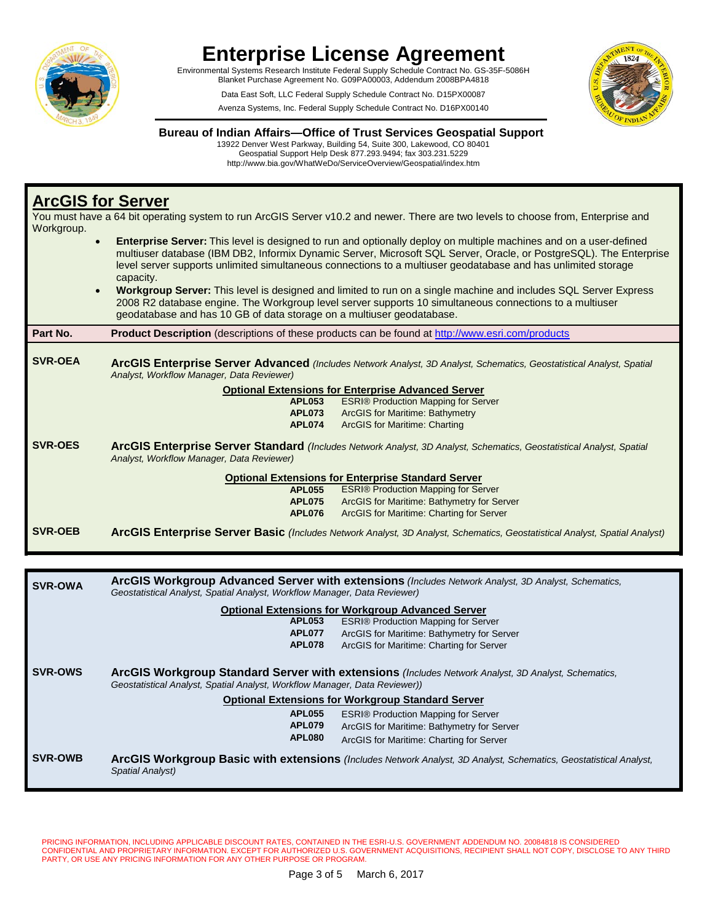

Environmental Systems Research Institute Federal Supply Schedule Contract No. GS-35F-5086H Blanket Purchase Agreement No. G09PA00003, Addendum 2008BPA4818

> Data East Soft, LLC Federal Supply Schedule Contract No. D15PX00087 Avenza Systems, Inc. Federal Supply Schedule Contract No. D16PX00140



#### **Bureau of Indian Affairs—Office of Trust Services Geospatial Support**

13922 Denver West Parkway, Building 54, Suite 300, Lakewood, CO 80401 Geospatial Support Help Desk 877.293.9494; fax 303.231.5229 http://www.bia.gov/WhatWeDo/ServiceOverview/Geospatial/index.htm

## **ArcGIS for Server**

You must have a 64 bit operating system to run ArcGIS Server v10.2 and newer. There are two levels to choose from, Enterprise and Workgroup.

- **Enterprise Server:** This level is designed to run and optionally deploy on multiple machines and on a user-defined multiuser database (IBM DB2, Informix Dynamic Server, Microsoft SQL Server, Oracle, or PostgreSQL). The Enterprise level server supports unlimited simultaneous connections to a multiuser geodatabase and has unlimited storage capacity.
	- **Workgroup Server:** This level is designed and limited to run on a single machine and includes SQL Server Express 2008 R2 database engine. The Workgroup level server supports 10 simultaneous connections to a multiuser geodatabase and has 10 GB of data storage on a multiuser geodatabase.

| Part No.                                                  |                                                                                                                                                                   | <b>Product Description</b> (descriptions of these products can be found at http://www.esri.com/products                    |  |
|-----------------------------------------------------------|-------------------------------------------------------------------------------------------------------------------------------------------------------------------|----------------------------------------------------------------------------------------------------------------------------|--|
| <b>SVR-OEA</b>                                            | ArcGIS Enterprise Server Advanced (Includes Network Analyst, 3D Analyst, Schematics, Geostatistical Analyst, Spatial<br>Analyst, Workflow Manager, Data Reviewer) |                                                                                                                            |  |
|                                                           | <b>Optional Extensions for Enterprise Advanced Server</b>                                                                                                         |                                                                                                                            |  |
|                                                           | <b>APL053</b>                                                                                                                                                     | <b>ESRI® Production Mapping for Server</b>                                                                                 |  |
|                                                           | <b>APL073</b>                                                                                                                                                     | <b>ArcGIS for Maritime: Bathymetry</b>                                                                                     |  |
|                                                           | <b>APL074</b>                                                                                                                                                     | <b>ArcGIS for Maritime: Charting</b>                                                                                       |  |
| <b>SVR-OES</b>                                            | ArcGIS Enterprise Server Standard (Includes Network Analyst, 3D Analyst, Schematics, Geostatistical Analyst, Spatial<br>Analyst, Workflow Manager, Data Reviewer) |                                                                                                                            |  |
| <b>Optional Extensions for Enterprise Standard Server</b> |                                                                                                                                                                   |                                                                                                                            |  |
|                                                           | <b>APL055</b>                                                                                                                                                     | <b>ESRI® Production Mapping for Server</b>                                                                                 |  |
|                                                           | <b>APL075</b>                                                                                                                                                     | ArcGIS for Maritime: Bathymetry for Server                                                                                 |  |
|                                                           | <b>APL076</b>                                                                                                                                                     | ArcGIS for Maritime: Charting for Server                                                                                   |  |
| <b>SVR-OEB</b>                                            |                                                                                                                                                                   | ArcGIS Enterprise Server Basic (Includes Network Analyst, 3D Analyst, Schematics, Geostatistical Analyst, Spatial Analyst) |  |

| <b>SVR-OWA</b> | ArcGIS Workgroup Advanced Server with extensions (Includes Network Analyst, 3D Analyst, Schematics,<br>Geostatistical Analyst, Spatial Analyst, Workflow Manager, Data Reviewer)                                                              |  |  |
|----------------|-----------------------------------------------------------------------------------------------------------------------------------------------------------------------------------------------------------------------------------------------|--|--|
|                | <b>Optional Extensions for Workgroup Advanced Server</b>                                                                                                                                                                                      |  |  |
|                | APL053<br><b>ESRI® Production Mapping for Server</b>                                                                                                                                                                                          |  |  |
|                | APL077<br>ArcGIS for Maritime: Bathymetry for Server                                                                                                                                                                                          |  |  |
|                | <b>APL078</b><br>ArcGIS for Maritime: Charting for Server                                                                                                                                                                                     |  |  |
| <b>SVR-OWS</b> | ArcGIS Workgroup Standard Server with extensions (Includes Network Analyst, 3D Analyst, Schematics,<br>Geostatistical Analyst, Spatial Analyst, Workflow Manager, Data Reviewer))<br><b>Optional Extensions for Workgroup Standard Server</b> |  |  |
|                | <b>ESRI® Production Mapping for Server</b><br>APL055                                                                                                                                                                                          |  |  |
|                | <b>APL079</b><br>ArcGIS for Maritime: Bathymetry for Server                                                                                                                                                                                   |  |  |
|                | APL080<br>ArcGIS for Maritime: Charting for Server                                                                                                                                                                                            |  |  |
| <b>SVR-OWB</b> | ArcGIS Workgroup Basic with extensions (Includes Network Analyst, 3D Analyst, Schematics, Geostatistical Analyst,<br>Spatial Analyst)                                                                                                         |  |  |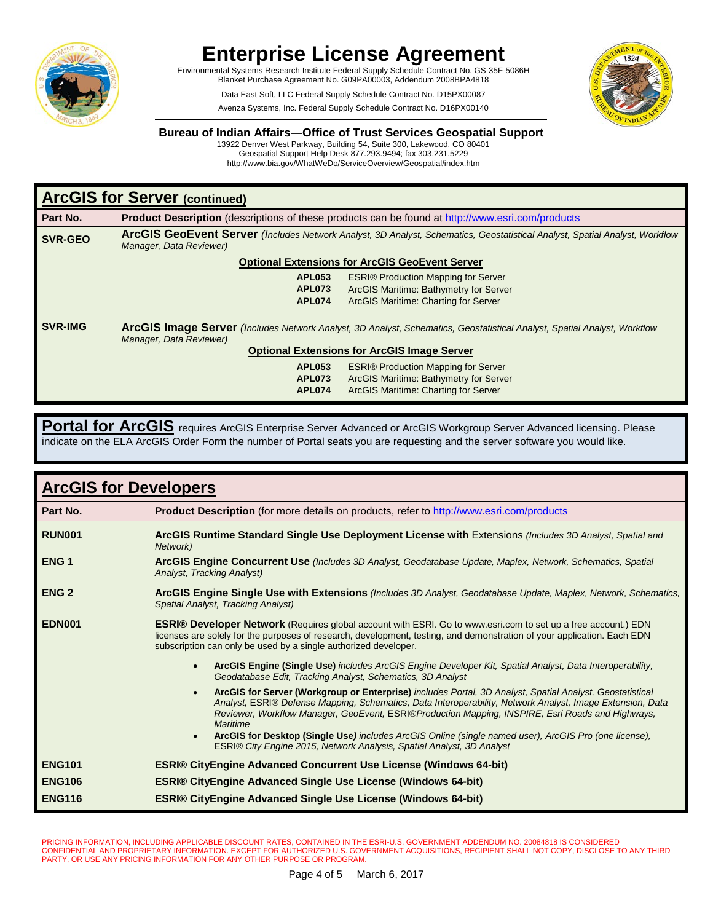

Environmental Systems Research Institute Federal Supply Schedule Contract No. GS-35F-5086H Blanket Purchase Agreement No. G09PA00003, Addendum 2008BPA4818

> Data East Soft, LLC Federal Supply Schedule Contract No. D15PX00087 Avenza Systems, Inc. Federal Supply Schedule Contract No. D16PX00140



#### **Bureau of Indian Affairs—Office of Trust Services Geospatial Support**

13922 Denver West Parkway, Building 54, Suite 300, Lakewood, CO 80401 Geospatial Support Help Desk 877.293.9494; fax 303.231.5229 http://www.bia.gov/WhatWeDo/ServiceOverview/Geospatial/index.htm

| <b>ArcGIS for Server (continued)</b>                  |                                                                                                                                                                                                                  |                                            |
|-------------------------------------------------------|------------------------------------------------------------------------------------------------------------------------------------------------------------------------------------------------------------------|--------------------------------------------|
| Part No.                                              | <b>Product Description</b> (descriptions of these products can be found at http://www.esri.com/products                                                                                                          |                                            |
| <b>SVR-GEO</b>                                        | <b>ArcGIS GeoEvent Server</b> (Includes Network Analyst, 3D Analyst, Schematics, Geostatistical Analyst, Spatial Analyst, Workflow<br>Manager, Data Reviewer)                                                    |                                            |
| <b>Optional Extensions for ArcGIS GeoEvent Server</b> |                                                                                                                                                                                                                  |                                            |
|                                                       | <b>APL053</b>                                                                                                                                                                                                    | <b>ESRI® Production Mapping for Server</b> |
|                                                       | <b>APL073</b>                                                                                                                                                                                                    | ArcGIS Maritime: Bathymetry for Server     |
|                                                       | APL074                                                                                                                                                                                                           | ArcGIS Maritime: Charting for Server       |
| <b>SVR-IMG</b>                                        | <b>ArcGIS Image Server</b> (Includes Network Analyst, 3D Analyst, Schematics, Geostatistical Analyst, Spatial Analyst, Workflow<br>Manager, Data Reviewer)<br><b>Optional Extensions for ArcGIS Image Server</b> |                                            |
|                                                       | APL053                                                                                                                                                                                                           | <b>ESRI® Production Mapping for Server</b> |
|                                                       | APL073                                                                                                                                                                                                           | ArcGIS Maritime: Bathymetry for Server     |
|                                                       | APL074                                                                                                                                                                                                           | ArcGIS Maritime: Charting for Server       |

**Portal for ArcGIS** requires ArcGIS Enterprise Server Advanced or ArcGIS Workgroup Server Advanced licensing. Please indicate on the ELA ArcGIS Order Form the number of Portal seats you are requesting and the server software you would like.

| <b>ArcGIS for Developers</b> |                                                                                                                                                                                                                                                                                                                                                                                                                                                                                                                                                   |  |  |
|------------------------------|---------------------------------------------------------------------------------------------------------------------------------------------------------------------------------------------------------------------------------------------------------------------------------------------------------------------------------------------------------------------------------------------------------------------------------------------------------------------------------------------------------------------------------------------------|--|--|
| Part No.                     | <b>Product Description</b> (for more details on products, refer to http://www.esri.com/products                                                                                                                                                                                                                                                                                                                                                                                                                                                   |  |  |
| <b>RUN001</b>                | ArcGIS Runtime Standard Single Use Deployment License with Extensions (Includes 3D Analyst, Spatial and<br>Network)                                                                                                                                                                                                                                                                                                                                                                                                                               |  |  |
| ENG <sub>1</sub>             | ArcGIS Engine Concurrent Use (Includes 3D Analyst, Geodatabase Update, Maplex, Network, Schematics, Spatial<br>Analyst, Tracking Analyst)                                                                                                                                                                                                                                                                                                                                                                                                         |  |  |
| <b>ENG 2</b>                 | ArcGIS Engine Single Use with Extensions (Includes 3D Analyst, Geodatabase Update, Maplex, Network, Schematics,<br>Spatial Analyst, Tracking Analyst)                                                                                                                                                                                                                                                                                                                                                                                             |  |  |
| <b>EDN001</b>                | <b>ESRI® Developer Network</b> (Requires global account with ESRI. Go to www.esri.com to set up a free account.) EDN<br>licenses are solely for the purposes of research, development, testing, and demonstration of your application. Each EDN<br>subscription can only be used by a single authorized developer.                                                                                                                                                                                                                                |  |  |
|                              | ArcGIS Engine (Single Use) includes ArcGIS Engine Developer Kit, Spatial Analyst, Data Interoperability,<br>$\bullet$<br>Geodatabase Edit, Tracking Analyst, Schematics, 3D Analyst                                                                                                                                                                                                                                                                                                                                                               |  |  |
|                              | ArcGIS for Server (Workgroup or Enterprise) includes Portal, 3D Analyst, Spatial Analyst, Geostatistical<br>$\bullet$<br>Analyst, ESRI® Defense Mapping, Schematics, Data Interoperability, Network Analyst, Image Extension, Data<br>Reviewer, Workflow Manager, GeoEvent, ESRI®Production Mapping, INSPIRE, Esri Roads and Highways,<br>Maritime<br>ArcGIS for Desktop (Single Use) includes ArcGIS Online (single named user), ArcGIS Pro (one license),<br>$\bullet$<br>ESRI® City Engine 2015, Network Analysis, Spatial Analyst, 3D Analyst |  |  |
| <b>ENG101</b>                | <b>ESRI® CityEngine Advanced Concurrent Use License (Windows 64-bit)</b>                                                                                                                                                                                                                                                                                                                                                                                                                                                                          |  |  |
| <b>ENG106</b>                | <b>ESRI® CityEngine Advanced Single Use License (Windows 64-bit)</b>                                                                                                                                                                                                                                                                                                                                                                                                                                                                              |  |  |
| <b>ENG116</b>                | <b>ESRI® CityEngine Advanced Single Use License (Windows 64-bit)</b>                                                                                                                                                                                                                                                                                                                                                                                                                                                                              |  |  |